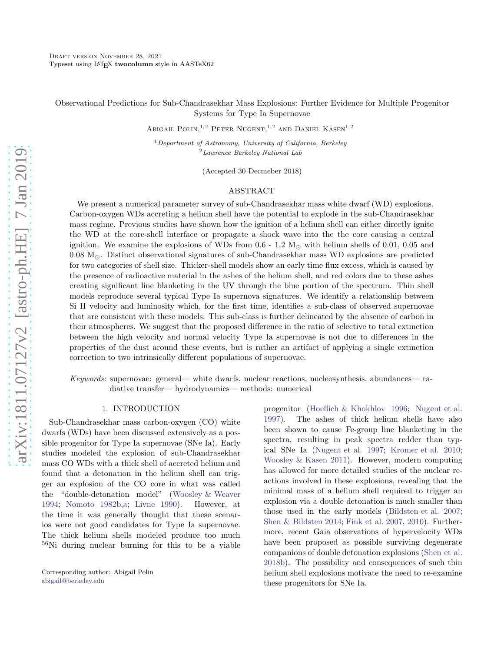Observational Predictions for Sub-Chandrasekhar Mass Explosions: Further Evidence for Multiple Progenitor Systems for Type Ia Supernovae

ABIGAIL POLIN,<sup>1,2</sup> PETER NUGENT,<sup>1,2</sup> AND DANIEL KASEN<sup>1,2</sup>

 $1$ Department of Astronomy, University of California, Berkeley <sup>2</sup>Lawrence Berkeley National Lab

(Accepted 30 Decmeber 2018)

# ABSTRACT

We present a numerical parameter survey of sub-Chandrasekhar mass white dwarf (WD) explosions. Carbon-oxygen WDs accreting a helium shell have the potential to explode in the sub-Chandrasekhar mass regime. Previous studies have shown how the ignition of a helium shell can either directly ignite the WD at the core-shell interface or propagate a shock wave into the the core causing a central ignition. We examine the explosions of WDs from  $0.6 - 1.2$  M<sub>☉</sub> with helium shells of 0.01, 0.05 and 0.08 M⊙. Distinct observational signatures of sub-Chandrasekhar mass WD explosions are predicted for two categories of shell size. Thicker-shell models show an early time flux excess, which is caused by the presence of radioactive material in the ashes of the helium shell, and red colors due to these ashes creating significant line blanketing in the UV through the blue portion of the spectrum. Thin shell models reproduce several typical Type Ia supernova signatures. We identify a relationship between Si II velocity and luminosity which, for the first time, identifies a sub-class of observed supernovae that are consistent with these models. This sub-class is further delineated by the absence of carbon in their atmospheres. We suggest that the proposed difference in the ratio of selective to total extinction between the high velocity and normal velocity Type Ia supernovae is not due to differences in the properties of the dust around these events, but is rather an artifact of applying a single extinction correction to two intrinsically different populations of supernovae.

Keywords: supernovae: general— white dwarfs, nuclear reactions, nucleosynthesis, abundances— radiative transfer— hydrodynamics— methods: numerical

### 1. INTRODUCTION

Sub-Chandrasekhar mass carbon-oxygen (CO) white dwarfs (WDs) have been discussed extensively as a possible progenitor for Type Ia supernovae (SNe Ia). Early studies modeled the explosion of sub-Chandrasekhar mass CO WDs with a thick shell of accreted helium and found that a detonation in the helium shell can trigger an explosion of the CO core in what was called the "double-detonation model" [\(Woosley & Weaver](#page-12-0) [1994;](#page-12-0) [Nomoto 1982b](#page-12-1)[,a;](#page-12-2) [Livne 1990\)](#page-12-3). However, at the time it was generally thought that these scenarios were not good candidates for Type Ia supernovae. The thick helium shells modeled produce too much <sup>56</sup>Ni during nuclear burning for this to be a viable progenitor [\(Hoeflich & Khokhlov 1996](#page-12-4); [Nugent et al.](#page-12-5) [1997\)](#page-12-5). The ashes of thick helium shells have also been shown to cause Fe-group line blanketing in the spectra, resulting in peak spectra redder than typical SNe Ia [\(Nugent et al. 1997;](#page-12-5) [Kromer et al. 2010](#page-12-6); [Woosley & Kasen 2011\)](#page-12-7). However, modern computing has allowed for more detailed studies of the nuclear reactions involved in these explosions, revealing that the minimal mass of a helium shell required to trigger an explosion via a double detonation is much smaller than those used in the early models [\(Bildsten et al. 2007](#page-11-0); [Shen & Bildsten 2014;](#page-12-8) [Fink et al. 2007](#page-11-1), [2010\)](#page-11-2). Furthermore, recent Gaia observations of hypervelocity WDs have been proposed as possible surviving degenerate companions of double detonation explosions [\(Shen et al.](#page-12-9) [2018b](#page-12-9)). The possibility and consequences of such thin helium shell explosions motivate the need to re-examine these progenitors for SNe Ia.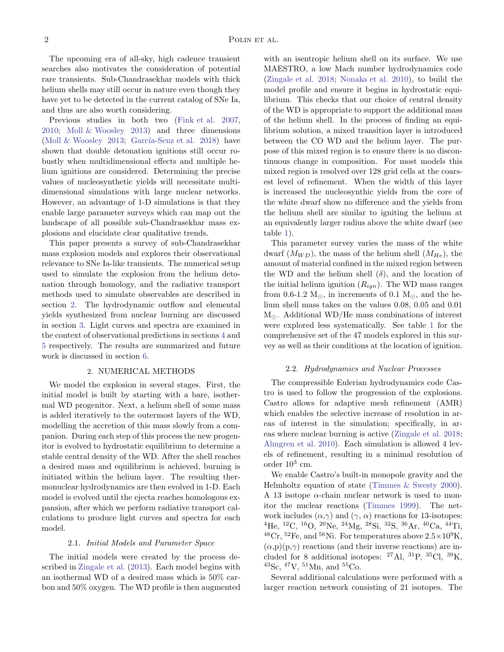The upcoming era of all-sky, high cadence transient searches also motivates the consideration of potential rare transients. Sub-Chandrasekhar models with thick helium shells may still occur in nature even though they have yet to be detected in the current catalog of SNe Ia, and thus are also worth considering.

Previous studies in both two [\(Fink et al. 2007,](#page-11-1) [2010;](#page-11-2) [Moll & Woosley 2013\)](#page-12-10) and three dimensions [\(Moll & Woosley 2013;](#page-12-10) García-Senz et al. 2018) have shown that double detonation ignitions still occur robustly when multidimensional effects and multiple helium ignitions are considered. Determining the precise values of nucleosynthetic yields will necessitate multidimensional simulations with large nuclear networks. However, an advantage of 1-D simulations is that they enable large parameter surveys which can map out the landscape of all possible sub-Chandrasekhar mass explosions and elucidate clear qualitative trends.

This paper presents a survey of sub-Chandrasekhar mass explosion models and explores their observational relevance to SNe Ia-like transients. The numerical setup used to simulate the explosion from the helium detonation through homology, and the radiative transport methods used to simulate observables are described in section [2.](#page-1-0) The hydrodynamic outflow and elemental yields synthesized from nuclear burning are discussed in section [3.](#page-2-0) Light curves and spectra are examined in the context of observational predictions in sections [4](#page-5-0) and [5](#page-7-0) respectively. The results are summarized and future work is discussed in section [6.](#page-11-3)

### 2. NUMERICAL METHODS

<span id="page-1-0"></span>We model the explosion in several stages. First, the initial model is built by starting with a bare, isothermal WD progenitor. Next, a helium shell of some mass is added iteratively to the outermost layers of the WD, modelling the accretion of this mass slowly from a companion. During each step of this process the new progenitor is evolved to hydrostatic equilibrium to determine a stable central density of the WD. After the shell reaches a desired mass and equilibrium is achieved, burning is initiated within the helium layer. The resulting thermonuclear hydrodynamics are then evolved in 1-D. Each model is evolved until the ejecta reaches homologous expansion, after which we perform radiative transport calculations to produce light curves and spectra for each model.

### 2.1. Initial Models and Parameter Space

The initial models were created by the process described in [Zingale et al.](#page-12-12) [\(2013\)](#page-12-12). Each model begins with an isothermal WD of a desired mass which is 50% carbon and 50% oxygen. The WD profile is then augmented with an isentropic helium shell on its surface. We use MAESTRO, a low Mach number hydrodynamics code [\(Zingale et al. 2018](#page-12-13); [Nonaka et al. 2010](#page-12-14)), to build the model profile and ensure it begins in hydrostatic equilibrium. This checks that our choice of central density of the WD is appropriate to support the additional mass of the helium shell. In the process of finding an equilibrium solution, a mixed transition layer is introduced between the CO WD and the helium layer. The purpose of this mixed region is to ensure there is no discontinuous change in composition. For most models this mixed region is resolved over 128 grid cells at the coarsest level of refinement. When the width of this layer is increased the nucleosynthic yields from the core of the white dwarf show no difference and the yields from the helium shell are similar to igniting the helium at an equivalently larger radius above the white dwarf (see table [1\)](#page-4-0).

This parameter survey varies the mass of the white dwarf  $(M_{WD})$ , the mass of the helium shell  $(M_{He})$ , the amount of material confined in the mixed region between the WD and the helium shell  $(\delta)$ , and the location of the initial helium ignition  $(R_{ign})$ . The WD mass ranges from 0.6-1.2  $M_{\odot}$ , in increments of 0.1  $M_{\odot}$ , and the helium shell mass takes on the values 0.08, 0.05 and 0.01  $M_{\odot}$ . Additional WD/He mass combinations of interest were explored less systematically. See table [1](#page-4-0) for the comprehensive set of the 47 models explored in this survey as well as their conditions at the location of ignition.

#### 2.2. Hydrodynamics and Nuclear Processes

The compressible Eulerian hydrodynamics code Castro is used to follow the progression of the explosions. Castro allows for adaptive mesh refinement (AMR) which enables the selective increase of resolution in areas of interest in the simulation; specifically, in areas where nuclear burning is active [\(Zingale et al. 2018](#page-12-13); [Almgren et al. 2010\)](#page-11-4). Each simulation is allowed 4 levels of refinement, resulting in a minimal resolution of order  $10^3$  cm.

We enable Castro's built-in monopole gravity and the Helmholtz equation of state [\(Timmes & Swesty 2000](#page-12-15)). A 13 isotope  $\alpha$ -chain nuclear network is used to monitor the nuclear reactions [\(Timmes 1999\)](#page-12-16). The network includes  $(\alpha, \gamma)$  and  $(\gamma, \alpha)$  reactions for 13-isotopes: <sup>4</sup>He, <sup>12</sup>C, <sup>16</sup>O, <sup>20</sup>Ne, <sup>24</sup>Mg, <sup>28</sup>Si, <sup>32</sup>S, <sup>36</sup>Ar, <sup>40</sup>Ca, <sup>44</sup>Ti,  $^{48}Cr$ ,  $^{52}Fe$ , and  $^{56}Ni$ . For temperatures above  $2.5\times10^9K$ ,  $(\alpha, p)(p, \gamma)$  reactions (and their inverse reactions) are included for 8 additional isotopes:  $^{27}$ Al,  $^{31}$ P,  $^{35}$ Cl,  $^{39}$ K,  $^{43}$ Sc,  $^{47}$ V,  $^{51}$ Mn, and  $^{55}$ Co.

Several additional calculations were performed with a larger reaction network consisting of 21 isotopes. The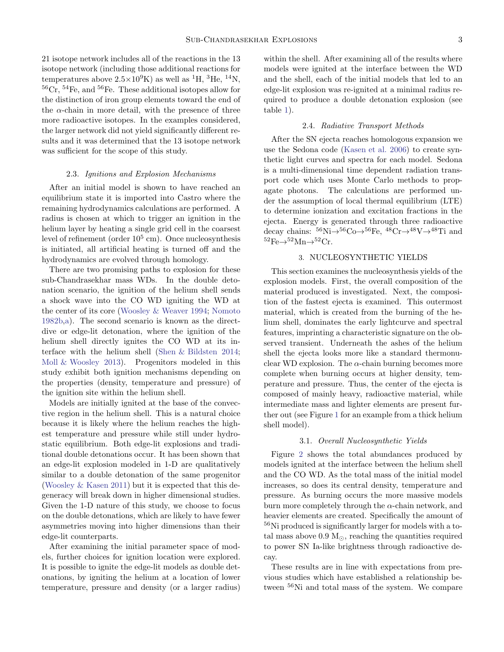21 isotope network includes all of the reactions in the 13 isotope network (including those additional reactions for temperatures above  $2.5 \times 10^9$ K) as well as <sup>1</sup>H, <sup>3</sup>He, <sup>14</sup>N,  ${}^{56}Cr$ ,  ${}^{54}Fe$ , and  ${}^{56}Fe$ . These additional isotopes allow for the distinction of iron group elements toward the end of the  $\alpha$ -chain in more detail, with the presence of three more radioactive isotopes. In the examples considered, the larger network did not yield significantly different results and it was determined that the 13 isotope network was sufficient for the scope of this study.

### 2.3. Ignitions and Explosion Mechanisms

After an initial model is shown to have reached an equilibrium state it is imported into Castro where the remaining hydrodynamics calculations are performed. A radius is chosen at which to trigger an ignition in the helium layer by heating a single grid cell in the coarsest level of refinement (order  $10^5$  cm). Once nucleosynthesis is initiated, all artificial heating is turned off and the hydrodynamics are evolved through homology.

There are two promising paths to explosion for these sub-Chandrasekhar mass WDs. In the double detonation scenario, the ignition of the helium shell sends a shock wave into the CO WD igniting the WD at the center of its core [\(Woosley & Weaver 1994;](#page-12-0) [Nomoto](#page-12-1) [1982b](#page-12-1)[,a](#page-12-2)). The second scenario is known as the directdive or edge-lit detonation, where the ignition of the helium shell directly ignites the CO WD at its interface with the helium shell [\(Shen & Bildsten 2014;](#page-12-8) [Moll & Woosley 2013\)](#page-12-10). Progenitors modeled in this study exhibit both ignition mechanisms depending on the properties (density, temperature and pressure) of the ignition site within the helium shell.

Models are initially ignited at the base of the convective region in the helium shell. This is a natural choice because it is likely where the helium reaches the highest temperature and pressure while still under hydrostatic equilibrium. Both edge-lit explosions and traditional double detonations occur. It has been shown that an edge-lit explosion modeled in 1-D are qualitatively similar to a double detonation of the same progenitor [\(Woosley & Kasen 2011\)](#page-12-7) but it is expected that this degeneracy will break down in higher dimensional studies. Given the 1-D nature of this study, we choose to focus on the double detonations, which are likely to have fewer asymmetries moving into higher dimensions than their edge-lit counterparts.

After examining the initial parameter space of models, further choices for ignition location were explored. It is possible to ignite the edge-lit models as double detonations, by igniting the helium at a location of lower temperature, pressure and density (or a larger radius) within the shell. After examining all of the results where models were ignited at the interface between the WD and the shell, each of the initial models that led to an edge-lit explosion was re-ignited at a minimal radius required to produce a double detonation explosion (see table [1\)](#page-4-0).

### 2.4. Radiative Transport Methods

After the SN ejecta reaches homologous expansion we use the Sedona code [\(Kasen et al. 2006\)](#page-12-17) to create synthetic light curves and spectra for each model. Sedona is a multi-dimensional time dependent radiation transport code which uses Monte Carlo methods to propagate photons. The calculations are performed under the assumption of local thermal equilibrium (LTE) to determine ionization and excitation fractions in the ejecta. Energy is generated through three radioactive decay chains:  ${}^{56}\text{Ni} \rightarrow {}^{56}\text{Co} \rightarrow {}^{56}\text{Fe}$ ,  ${}^{48}\text{Cr} \rightarrow {}^{48}\text{V} \rightarrow {}^{48}\text{Ti}$  and  ${}^{52}\text{Fe} \rightarrow {}^{52}\text{Mn} \rightarrow {}^{52}\text{Cr}$ .

# 3. NUCLEOSYNTHETIC YIELDS

<span id="page-2-0"></span>This section examines the nucleosynthesis yields of the explosion models. First, the overall composition of the material produced is investigated. Next, the composition of the fastest ejecta is examined. This outermost material, which is created from the burning of the helium shell, dominates the early lightcurve and spectral features, imprinting a characteristic signature on the observed transient. Underneath the ashes of the helium shell the ejecta looks more like a standard thermonuclear WD explosion. The  $\alpha$ -chain burning becomes more complete when burning occurs at higher density, temperature and pressure. Thus, the center of the ejecta is composed of mainly heavy, radioactive material, while intermediate mass and lighter elements are present further out (see Figure [1](#page-3-0) for an example from a thick helium shell model).

#### 3.1. Overall Nucleosynthetic Yields

Figure [2](#page-3-1) shows the total abundances produced by models ignited at the interface between the helium shell and the CO WD. As the total mass of the initial model increases, so does its central density, temperature and pressure. As burning occurs the more massive models burn more completely through the  $\alpha$ -chain network, and heavier elements are created. Specifically the amount of <sup>56</sup>Ni produced is significantly larger for models with a total mass above  $0.9 M_{\odot}$ , reaching the quantities required to power SN Ia-like brightness through radioactive decay.

These results are in line with expectations from previous studies which have established a relationship between <sup>56</sup>Ni and total mass of the system. We compare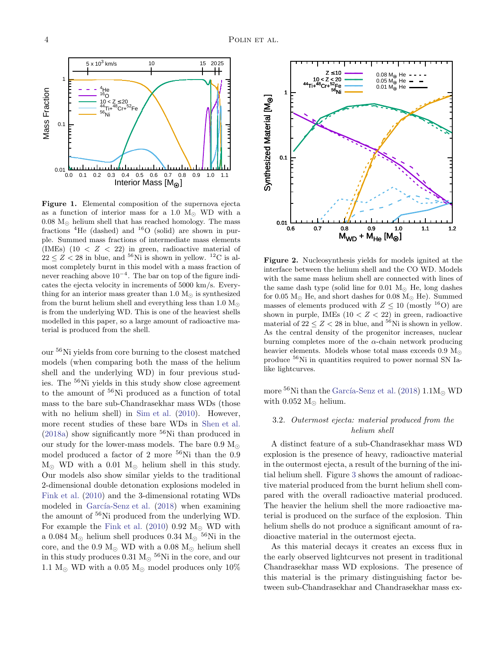

<span id="page-3-0"></span>Figure 1. Elemental composition of the supernova ejecta as a function of interior mass for a 1.0  $M_{\odot}$  WD with a  $0.08 \text{ M}_{\odot}$  helium shell that has reached homology. The mass fractions  ${}^{4}$ He (dashed) and  ${}^{16}$ O (solid) are shown in purple. Summed mass fractions of intermediate mass elements (IMEs)  $(10 < Z < 22)$  in green, radioactive material of  $22 \leq Z < 28$  in blue, and <sup>56</sup>Ni is shown in yellow. <sup>12</sup>C is almost completely burnt in this model with a mass fraction of never reaching above  $10^{-4}$ . The bar on top of the figure indicates the ejecta velocity in increments of 5000 km/s. Everything for an interior mass greater than 1.0  $M_{\odot}$  is synthesized from the burnt helium shell and everything less than 1.0  $M_{\odot}$ is from the underlying WD. This is one of the heaviest shells modelled in this paper, so a large amount of radioactive material is produced from the shell.

our <sup>56</sup>Ni yields from core burning to the closest matched models (when comparing both the mass of the helium shell and the underlying WD) in four previous studies. The <sup>56</sup>Ni yields in this study show close agreement to the amount of <sup>56</sup>Ni produced as a function of total mass to the bare sub-Chandrasekhar mass WDs (those with no helium shell) in [Sim et al.](#page-12-18) [\(2010\)](#page-12-18). However, more recent studies of these bare WDs in [Shen et al.](#page-12-19)  $(2018a)$  show significantly more <sup>56</sup>Ni than produced in our study for the lower-mass models. The bare 0.9  $M_{\odot}$ model produced a factor of 2 more <sup>56</sup>Ni than the 0.9  $M_{\odot}$  WD with a 0.01  $M_{\odot}$  helium shell in this study. Our models also show similar yields to the traditional 2-dimensional double detonation explosions modeled in [Fink et al.](#page-11-2) [\(2010\)](#page-11-2) and the 3-dimensional rotating WDs modeled in García-Senz et al. [\(2018](#page-12-11)) when examining the amount of <sup>56</sup>Ni produced from the underlying WD. For example the [Fink et al.](#page-11-2) [\(2010\)](#page-11-2)  $0.92 \text{ M}_{\odot}$  WD with a 0.084 M<sub>☉</sub> helium shell produces 0.34 M<sub>☉</sub> <sup>56</sup>Ni in the core, and the 0.9  $M_{\odot}$  WD with a 0.08  $M_{\odot}$  helium shell in this study produces 0.31  $M_{\odot}$  <sup>56</sup>Ni in the core, and our 1.1  $M_{\odot}$  WD with a 0.05  $M_{\odot}$  model produces only 10%



<span id="page-3-1"></span>Figure 2. Nucleosynthesis yields for models ignited at the interface between the helium shell and the CO WD. Models with the same mass helium shell are connected with lines of the same dash type (solid line for 0.01  $M_{\odot}$  He, long dashes for 0.05  $M_{\odot}$  He, and short dashes for 0.08  $M_{\odot}$  He). Summed masses of elements produced with  $Z \leq 10$  (mostly <sup>16</sup>O) are shown in purple, IMEs  $(10 < Z < 22)$  in green, radioactive material of  $22 \le Z \le 28$  in blue, and <sup>56</sup>Ni is shown in yellow. As the central density of the progenitor increases, nuclear burning completes more of the  $\alpha$ -chain network producing heavier elements. Models whose total mass exceeds  $0.9 M_{\odot}$ produce <sup>56</sup>Ni in quantities required to power normal SN Ialike lightcurves.

more  $^{56}$ Ni than the García-Senz et al. [\(2018](#page-12-11)) 1.1M<sub>o</sub> WD with  $0.052$  M<sub> $\odot$ </sub> helium.

# 3.2. Outermost ejecta: material produced from the helium shell

A distinct feature of a sub-Chandrasekhar mass WD explosion is the presence of heavy, radioactive material in the outermost ejecta, a result of the burning of the initial helium shell. Figure [3](#page-5-1) shows the amount of radioactive material produced from the burnt helium shell compared with the overall radioactive material produced. The heavier the helium shell the more radioactive material is produced on the surface of the explosion. Thin helium shells do not produce a significant amount of radioactive material in the outermost ejecta.

As this material decays it creates an excess flux in the early observed lightcurves not present in traditional Chandrasekhar mass WD explosions. The presence of this material is the primary distinguishing factor between sub-Chandrasekhar and Chandrasekhar mass ex-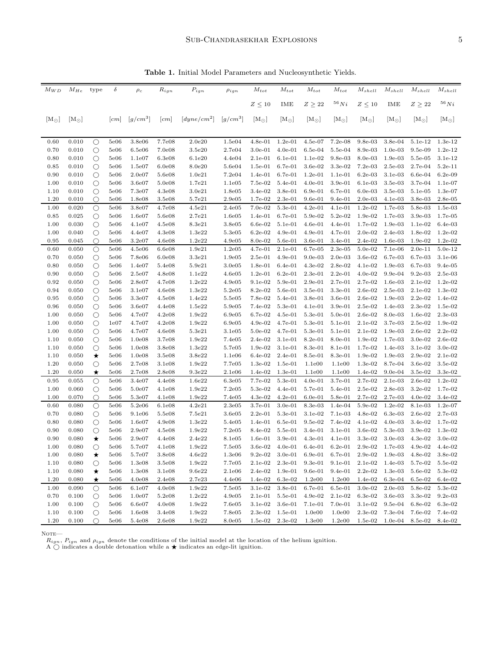<span id="page-4-0"></span>Table 1. Initial Model Parameters and Nucleosynthetic Yields.

| $M_{WD}$      | $M_{He}$       | type               | $\delta$          | $\rho_c$         | $R_{ign}$        | $P_{ign}$          | $\rho_{ign}$     | $M_{tot}$              | $M_{tot}$                   | $M_{tot}$            | $M_{tot}$              | $M_{shell}$            | $M_{shell}$            | $M_{shell}$            | $M_{shell}$          |
|---------------|----------------|--------------------|-------------------|------------------|------------------|--------------------|------------------|------------------------|-----------------------------|----------------------|------------------------|------------------------|------------------------|------------------------|----------------------|
|               |                |                    |                   |                  |                  |                    |                  | $Z\leq 10$             | IME                         | $Z \geq 22$          | $^{56}Ni$              | $Z\leq 10$             | IME                    | $Z\geq 22$             | $^{56}Ni$            |
| $[M_{\odot}]$ | $[M_{\odot}]$  |                    | cm                | $[g/cm^3]$       | cm               | $[dyne/cm^2]$      | $[g/cm^3]$       | $[M_{\odot}]$          | $\rm [M_{\odot}]$           | $\rm [M_{\odot}]$    | $[M_{\odot}]$          | $[M_{\odot}]$          | $[M_{\odot}]$          | $[M_{\odot}]$          | $[M_{\odot}]$        |
|               |                |                    |                   |                  |                  |                    |                  |                        |                             |                      |                        |                        |                        |                        |                      |
| 0.60          | 0.010          | $\circ$            | 5e06              | 3.8e06           | 7.7e08           | 2.0e20             | 1.5e04           | $4.8e-01$              | $1.2e-01$                   | $4.5e-07$            | $7.2e-08$              | $9.8e-03$              | 3.8e-04                | 5.1e-12                | $1.3e-12$            |
| 0.70          | 0.010          | $\circ$            | 5e06              | 6.5e06           | 7.0e08           | 3.5e20             | 2.7e04           | $3.0e-01$              | $4.0e-01$                   | $6.5e-04$            | 5.5e-04                | 8.9e-03                | $1.0e-03$              | 9.5e-09                | $1.2e-12$            |
| 0.80          | 0.010          | $\circ$            | 5e06              | 1.1e07           | 6.3e08           | 6.1e20             | 4.4e04           | $2.1e-01$              | $6.1e-01$                   | $1.1e-02$            | $9.8e-03$              | 8.0e-03                | $1.9e-03$              | 5.5e-05                | 3.1e-12              |
| 0.85          | 0.010          | $\bigcirc$         | 5e06              | 1.5e07           | 6.0e08           | 8.0e20             | 5.6e04           | $1.5e-01$              | 6.7e-01                     | 3.6e-02              | $3.3e-02$              | $7.2e-03$              | $2.5e-03$              | 2.7e-04                | $5.2e-11$            |
| 0.90          | 0.010          | $\circ$            | 5e06              | 2.0e07           | 5.6e08           | 1.0e21             | 7.2e04           | $1.4e-01$              | $6.7e-01$                   | $1.2e-01$            | $1.1e-01$              | $6.2e-03$              | 3.1e-03                | $6.6e-04$              | $6.2e-09$            |
| 1.00          | 0.010          | $\circ$            | 5e06              | 3.6e07           | 5.0e08           | 1.7e21             | 1.1e05           | 7.5e-02                | 5.4e-01                     | $4.0e-01$            | $3.9e-01$              | $6.1e-03$              | 3.5e-03                | $3.7e-04$              | $1.1e-07$            |
| 1.10          | 0.010          | $\circ$            | 5e06              | 7.3e07           | 4.3e08           | 3.0e21             | 1.8e05           | $3.4e-02$              | 3.8e-01                     | $6.9e-01$            | 6.7e-01                | $6.0e-03$              | $3.5e-03$              | $5.1e-05$              | 1.3e-07              |
| 1.20          | 0.010          | $\bigcirc$         | 5e06              | 1.8e08           | 3.5e08           | 5.7e21             | 2.9e05           | 1.7e-02                | $2.3e-01$                   | $9.6e-01$            | $9.4e-01$              | $2.0e-03$              | $4.1e-03$              | 3.8e-03                | $2.8e-0.5$           |
| 1.00          | 0.020          | $\circ$            | 5e06              | 3.8e07           | 4.7e08           | 4.5e21             | 2.4e05           | $7.0e-02$              | 5.3e-01                     | $4.2e-01$            | 4.1e-01                | $1.2e-02$              | 1.7e-03                | 5.8e-03                | $1.5e-03$            |
| 0.85<br>1.00  | 0.025<br>0.030 | $\circ$<br>$\circ$ | 5e06<br>5e06      | 1.6e07<br>4.1e07 | 5.6e08<br>4.5e08 | 2.7e21<br>8.3e21   | 1.6e05<br>3.8e05 | $1.4e-01$<br>$6.6e-02$ | $6.7e-01$<br>$5.1e-01$      | 5.9e-02<br>$4.6e-01$ | 5.2e-02<br>$4.4e-01$   | $1.9e-02$<br>1.7e-02   | 1.7e-03<br>1.9e-03     | $3.9e-03$<br>$1.1e-02$ | 1.7e-05<br>$6.4e-03$ |
| 1.00          | 0.040          | $\circ$            | 5e06              | 4.4e07           | 4.3e08           | 1.3e22             | 5.3e05           | $6.2e-02$              | $4.9e-01$                   | $4.9e-01$            | 4.7e-01                | $2.0e-02$              | $2.4e-03$              | $1.8e-02$              | $1.2e-02$            |
| 0.95          | 0.045          | О                  | 5e06              | 3.2e07           | 4.6e08           | 1.2e22             | 4.9e05           | 8.0e-02                | $5.6e-01$                   | $3.6e-01$            | $3.4e-01$              | $2.4e-02$              | $1.6e-03$              | $1.9e-02$              | $1.2e-02$            |
| 0.60          | 0.050          | $\circ$            | 5e06              | 4.5e06           | 6.6e08           | 1.9e21             | 1.2e05           | $4.7e-01$              | $2.1e-01$                   | 6.7e-05              | $2.3e-0.5$             | 5.0e-02                | 7.1e-06                | $2.0e-11$              | $5.0e-12$            |
| 0.70          | 0.050          | $\circ$            | 5e06              | 7.8e06           | 6.0e08           | 3.3e21             | 1.9e05           | $2.5e-01$              | $4.9e-01$                   | $9.0e-03$            | $2.0e-03$              | $3.6e-02$              | 6.7e-03                | $6.7e-03$              | $3.1e-06$            |
| 0.80          | 0.050          | $\bigcirc$         | 5e06              | 1.4e07           | 5.4e08           | 5.9e21             | 3.0e05           | $1.8e-01$              | $6.4e-01$                   | $4.3e-02$            | 2.8e-02                | $4.1e-02$              | $1.9e-03$              | 6.7e-03                | $9.4e-05$            |
| 0.90          | 0.050          | $\circ$            | 5e06              | 2.5e07           | 4.8e08           | 1.1e22             | 4.6e05           | $1.2e-01$              | $6.2e-01$                   | $2.3e-01$            | $2.2e-01$              | $4.0e-02$              | $9.9e-04$              | $9.2e-03$              | $2.5e-03$            |
| 0.92          | 0.050          | $\circ$            | 5e06              | 2.8e07           | 4.7e08           | 1.2e22             | 4.9e05           | $9.1e-02$              | 5.9e-01                     | $2.9e-01$            | $2.7e-01$              | $2.7e-02$              | $1.6e-03$              | $2.1e-02$              | $1.2e-02$            |
| 0.94          | 0.050          | $\bigcirc$         | 5e06              | 3.1e07           | 4.6e08           | 1.3e22             | 5.2e05           | 8.2e-02                | $5.6e-01$                   | $3.5e-01$            | $3.3e-01$              | $2.6e-02$              | $2.5e-03$              | 2.1e-02                | $1.3e-02$            |
| 0.95          | 0.050          | $\bigcirc$         | 5e06              | 3.3e07           | 4.5e08           | 1.4e22             | 5.5e05           | 7.8e-02                | 5.4e-01                     | 3.8e-01              | $3.6e-01$              | $2.6e-02$              | $1.9e-03$              | $2.2e-02$              | 1.4e-02              |
| 0.96          | 0.050          | $\circ$            | 5e06              | 3.6e07           | 4.4e08           | 1.5e22             | 5.9e05           | 7.4e-02                | $5.3e-01$                   | $4.1e-01$            | $3.9e-01$              | $2.5e-02$              | 1.4e-03                | 2.3e-02                | $1.5e-02$            |
| 1.00          | 0.050          | $\circ$            | 5e06              | 4.7e07           | 4.2e08           | 1.9e22             | 6.9e05           | 6.7e-02                | $4.5e-01$                   | 5.3e-01              | $5.0e-01$              | $2.6e-02$              | 8.0e-03                | $1.6e-02$              | $2.3e-03$            |
| 1.00          | 0.050          | $\circ$            | 1e07              | 4.7e07           | 4.2e08           | 1.9e22             | 6.9e05           | $4.9e-02$              | 4.7e-01                     | 5.3e-01              | 5.1e-01                | $2.1e-02$              | 3.7e-03                | $2.5e-02$              | $1.9e-02$            |
| 1.00          | 0.050          | $\circ$            | 5e06              | 4.7e07           | 4.6e08           | 5.3 <sub>e21</sub> | 3.1e05           | 5.0e-02                | $4.7e-01$                   | $5.3e-01$            | 5.1e-01                | $2.1e-02$              | $1.9e-03$              | $2.6e-02$              | $2.2e-02$            |
| 1.10          | 0.050          | $\bigcirc$         | 5e06              | 1.0e08           | 3.7e08           | 1.9e22             | 7.4e05           | $2.4e-02$              | $3.1e-01$                   | $8.2e-01$            | $8.0e-01$              | $1.9e-02$              | 1.7e-03                | $3.0e-02$              | $2.6e-02$            |
| 1.10          | 0.050          | $\circ$            | 5e06              | 1.0e08           | 3.8e08           | 1.3e22             | 5.7e05           | $1.9e-02$              | 3.1e-01                     | 8.3e-01              | 8.1e-01                | 1.7e-02                | 1.4e-03                | $3.1e-02$              | $3.0e-02$            |
| 1.10          | 0.050          | ★                  | 5e06              | 1.0e08           | 3.5e08           | 3.8 <sub>e22</sub> | 1.1e06           | $6.4e-02$              | $2.4e-01$                   | 8.5e-01              | 8.3e-01                | $1.9e-02$              | $1.9e-03$              | $2.9e-02$              | $2.1e-02$            |
| 1.20          | 0.050          | $\circ$            | 5e06              | 2.7e08           | 3.1e08           | 1.9e22             | 7.7e05           | $1.3e-02$              | 1.5e-01                     | 1.1e00               | 1.1e00                 | $1.3e-02$              | 8.7e-04                | $3.6e-02$              | $3.5e-02$            |
| 1.20          | 0.050          | $\star$            | 5e06              | 2.7e08           | 2.8e08           | 9.3e22             | 2.1e06           | 1.4e-02                | $1.3e-01$                   | 1.1e00               | 1.1e00                 | $1.4e-02$              | $9.0e-04$              | $3.5e-02$              | 3.3e-02              |
| 0.95          | 0.055          | $\circ$            | 5e06              | 3.4e07           | 4.4e08           | 1.6e22             | 6.3e05           | 7.7e-02                | 5.3e-01                     | $4.0e-01$            | 3.7e-01                | 2.7e-02                | $2.1e-03$              | $2.6e-02$              | $1.2e-02$            |
| 1.00          | 0.060          | $\circ$            | 5e06              | 5.0e07           | 4.1e08           | 1.9e22             | 7.2e05           | 5.3e-02                | $4.4e-01$                   | 5.7e-01              | 5.4e-01                | $2.5e-02$              | $2.8e-03$              | $3.2e-02$              | 1.7e-02              |
| 1.00          | 0.070          | $\bigcirc$         | 5e06              | 5.3e07           | 4.1e08           | 1.9e22             | 7.4e05           | $4.3e-02$              | $4.2e-01$                   | $6.0e-01$            | 5.8e-01                | 2.7e-02                | 2.7e-03                | $4.0e-02$              | $3.4e-02$            |
| 0.60          | 0.080          | $\bigcirc$         | $5\mathrm{e}{06}$ | 5.2e06           | 6.1e08           | 4.2 <sub>e21</sub> | 2.3e05           | 3.7e-01                | $3.0e-01$                   | 8.3e-03              | $1.4e-04$              | 5.9e-02                | $1.2e-02$              | 8.1e-03                | $1.2e-07$            |
| 0.70          | 0.080          | $\circ$            | 5e06              | 9.1e06           | 5.5e08           | 7.5e21             | 3.6e05           | $2.2e-01$              | $5.3e-01$                   | 3.1e-02              | 7.1e-03                | 4.8e-02                | $6.3e-03$              | 2.6e-02                | 2.7e-03              |
| 0.80          | 0.080          | $\circ$            | 5e06              | 1.6e07           | 4.9e08           | 1.3e22             | 5.4e05           | $1.4e-01$              | $6.5e-01$                   | 9.5e-02              | $7.4e-02$              | $4.1e-02$              | $4.0e-03$              | $3.4e-02$              | 1.7e-02              |
| 0.90          | 0.080          | $\circ$            | 5e06              | 2.9e07           | 4.5e08           | 1.9e22             | 7.2e05           | 8.4e-02                | 5.5e-01                     | $3.4e-01$            | $3.1e-01$              | 3.6e-02                | 5.3e-03                | 3.9e-02                | $1.3e-02$            |
| 0.90          | 0.080          | ★                  | 5e06              | 2.9e07           | 4.4e08           | 2.4e22             | 8.1e05           | $1.6e-01$              | $3.9e-01$                   | $4.3e-01$            | $4.1e-01$              | 3.3e-02                | $3.0e-03$              | $4.3e-02$              | $3.0e-02$            |
| 1.00          | 0.080          | О                  | 5e06              | 5.7e07           | 4.1e08           | 1.9e22             | 7.5e05           | $3.6e-02$              | $4.0e-01$                   | $6.4e-01$            | $6.2e-01$              | $2.9e-02$              | 1.7e-03                | $4.9e-02$              | $4.4e-02$            |
| 1.00          | 0.080          | $\star$            | 5e06              | 5.7e07           | 3.8e08           | 4.6e22             | 1.3e06           | $9.2e-02$              | $3.0\mathrm{e}{\text{-}}01$ | $6.9e-01$            | 6.7e-01                | $2.9e-02$              | $1.9e-03$              | $4.8e-02$              | 3.8e-02              |
| 1.10          | 0.080          | $\circ$            | 5e06              | 1.3e08<br>1.3e08 | 3.5e08           | 1.9e22             | 7.7e05           | $2.1e-02$<br>$2.4e-02$ | $2.3e-01$<br>$1.9e-01$      | $9.3e-01$            | $9.1e-01$<br>$9.4e-01$ | $2.1e-02$              | 1.4e-03                | 5.7e-02                | 5.5e-02              |
| 1.10<br>1.20  | 0.080<br>0.080 | ★<br>★             | 5e06<br>5e06      | 4.0e08           | 3.1e08<br>2.4e08 | 9.6e22<br>2.7e23   | 2.1e06<br>4.4e06 | $1.4e-02$              | $6.3e-02$                   | $9.6e-01$<br>1.2e00  | 1.2e00                 | $2.2e-02$<br>$1.4e-02$ | $1.3e-03$<br>$6.3e-04$ | 5.6e-02<br>6.5e-02     | 5.3e-02<br>$6.4e-02$ |
| 1.00          | 0.090          | $\bigcirc$         | 5e06              | 6.1e07           | 4.0e08           | 1.9e22             | 7.5e05           | $3.1e-02$              | $3.8e-01$                   | 6.7e-01              | $6.5e-01$              | $3.0e-0.2$             | $2.0e-03$              | 5.8e-02                | 5.3e-02              |
| 0.70          | 0.100          | $\circ$            | 5e06              | 1.0e07           | 5.2e08           | 1.2e22             | 4.9e05           | $2.1e-01$              | 5.5e-01                     | $4.9e-02$            | $2.1e-02$              | $6.3e-02$              | $3.6e-03$              | $3.3e-02$              | $9.2e-03$            |
| 1.00          | 0.100          | О                  | 5e06              | 6.6e07           | 4.0e08           | 1.9e22             | 7.6e05           | $3.1e-02$              | $3.6e-01$                   | $7.1e-01$            | $7.0e-01$              | 3.1e-02                | $9.5e-04$              | 6.8e-02                | $6.3e-02$            |
| 1.10          | 0.100          | $\circ$            | 5e06              | 1.6e08           | 3.4e08           | 1.9e22             | 7.8e05           | $2.3e-02$              | $1.5e-01$                   | 1.0e00               | 1.0e00                 | $2.3e-02$              | $7.3e-04$              | 7.6e-02                | 7.4e-02              |
| 1.20          | 0.100          | $\circ$            | 5e06              | 5.4e08           | 2.6e08           | 1.9e22             | 8.0e05           | $1.5e-02$              | $2.3e-02$                   | 1.3e00               | 1.2e00                 | $1.5e-02$              | $1.0e-04$              | 8.5e-02                | 8.4e-02              |

 $N$ ote—

 $R_{ign}$ ,  $P_{ign}$  and  $\rho_{ign}$  denote the conditions of the initial model at the location of the helium ignition.<br>A  $\bigcirc$  indicates a double detonation while a  $\bigstar$  indicates an edge-lit ignition.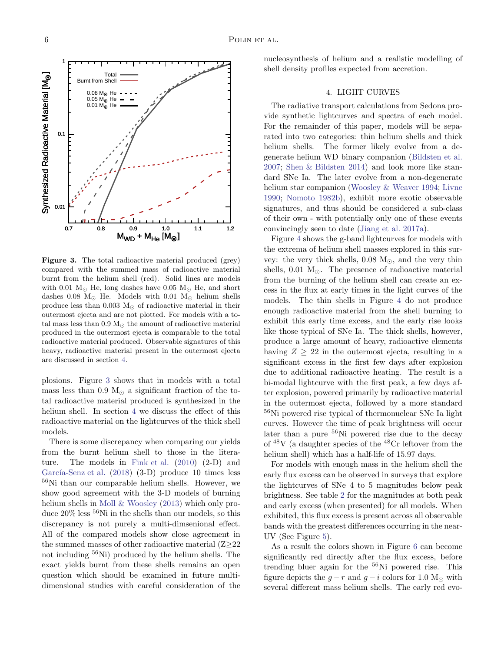

<span id="page-5-1"></span>Figure 3. The total radioactive material produced (grey) compared with the summed mass of radioactive material burnt from the helium shell (red). Solid lines are models with 0.01  $M_{\odot}$  He, long dashes have 0.05  $M_{\odot}$  He, and short dashes 0.08 M<sub>☉</sub> He. Models with 0.01 M<sub>☉</sub> helium shells produce less than 0.003  $M_{\odot}$  of radioactive material in their outermost ejecta and are not plotted. For models with a total mass less than 0.9  $M_{\odot}$  the amount of radioactive material produced in the outermost ejecta is comparable to the total radioactive material produced. Observable signatures of this heavy, radioactive material present in the outermost ejecta are discussed in section [4.](#page-5-0)

plosions. Figure [3](#page-5-1) shows that in models with a total mass less than 0.9  $M_{\odot}$  a significant fraction of the total radioactive material produced is synthesized in the helium shell. In section [4](#page-5-0) we discuss the effect of this radioactive material on the lightcurves of the thick shell models.

There is some discrepancy when comparing our yields from the burnt helium shell to those in the literature. The models in [Fink et al.](#page-11-2) [\(2010\)](#page-11-2) (2-D) and García-Senz et al.  $(2018)$  $(2018)$   $(3-D)$  produce 10 times less <sup>56</sup>Ni than our comparable helium shells. However, we show good agreement with the 3-D models of burning helium shells in [Moll & Woosley](#page-12-10) [\(2013\)](#page-12-10) which only produce  $20\%$  less  $56$ Ni in the shells than our models, so this discrepancy is not purely a multi-dimsenional effect. All of the compared models show close agreement in the summed masses of other radioactive material (Z≥22 not including <sup>56</sup>Ni) produced by the helium shells. The exact yields burnt from these shells remains an open question which should be examined in future multidimensional studies with careful consideration of the

<span id="page-5-0"></span>nucleosynthesis of helium and a realistic modelling of shell density profiles expected from accretion.

### 4. LIGHT CURVES

The radiative transport calculations from Sedona provide synthetic lightcurves and spectra of each model. For the remainder of this paper, models will be separated into two categories: thin helium shells and thick helium shells. The former likely evolve from a degenerate helium WD binary companion [\(Bildsten et al.](#page-11-0) [2007;](#page-11-0) [Shen & Bildsten 2014\)](#page-12-8) and look more like standard SNe Ia. The later evolve from a non-degenerate helium star companion [\(Woosley & Weaver 1994;](#page-12-0) [Livne](#page-12-3) [1990;](#page-12-3) [Nomoto 1982b\)](#page-12-1), exhibit more exotic observable signatures, and thus should be considered a sub-class of their own - with potentially only one of these events convincingly seen to date [\(Jiang et al. 2017a\)](#page-12-20).

Figure [4](#page-6-0) shows the g-band lightcurves for models with the extrema of helium shell masses explored in this survey: the very thick shells, 0.08  $M_{\odot}$ , and the very thin shells,  $0.01 \text{ M}_{\odot}$ . The presence of radioactive material from the burning of the helium shell can create an excess in the flux at early times in the light curves of the models. The thin shells in Figure [4](#page-6-0) do not produce enough radioactive material from the shell burning to exhibit this early time excess, and the early rise looks like those typical of SNe Ia. The thick shells, however, produce a large amount of heavy, radioactive elements having  $Z \geq 22$  in the outermost ejecta, resulting in a significant excess in the first few days after explosion due to additional radioactive heating. The result is a bi-modal lightcurve with the first peak, a few days after explosion, powered primarily by radioactive material in the outermost ejecta, followed by a more standard <sup>56</sup>Ni powered rise typical of thermonuclear SNe Ia light curves. However the time of peak brightness will occur later than a pure  $56$ Ni powered rise due to the decay of  $48V$  (a daughter species of the  $48Cr$  leftover from the helium shell) which has a half-life of  $15.97$  days.

For models with enough mass in the helium shell the early flux excess can be observed in surveys that explore the lightcurves of SNe 4 to 5 magnitudes below peak brightness. See table [2](#page-7-1) for the magnitudes at both peak and early excess (when presented) for all models. When exhibited, this flux excess is present across all observable bands with the greatest differences occurring in the near-UV (See Figure [5\)](#page-6-1).

As a result the colors shown in Figure [6](#page-7-2) can become significantly red directly after the flux excess, before trending bluer again for the <sup>56</sup>Ni powered rise. This figure depicts the  $g - r$  and  $g - i$  colors for 1.0 M<sub>☉</sub> with several different mass helium shells. The early red evo-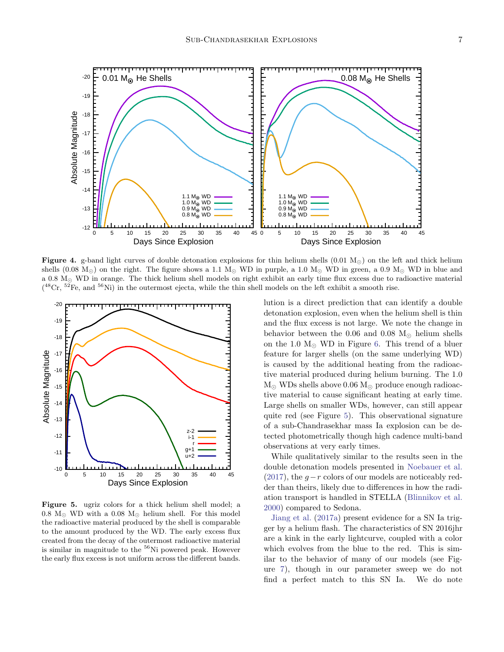

<span id="page-6-0"></span>Figure 4. g-band light curves of double detonation explosions for thin helium shells (0.01 M<sub>☉</sub>) on the left and thick helium shells (0.08  $M_{\odot}$ ) on the right. The figure shows a 1.1  $M_{\odot}$  WD in purple, a 1.0  $M_{\odot}$  WD in green, a 0.9  $M_{\odot}$  WD in blue and a 0.8 M<sup>⊙</sup> WD in orange. The thick helium shell models on right exhibit an early time flux excess due to radioactive material  $( ^{48}Cr, ^{52}Fe,$  and  $^{56}Ni)$  in the outermost ejecta, while the thin shell models on the left exhibit a smooth rise.



<span id="page-6-1"></span>Figure 5. ugriz colors for a thick helium shell model; a 0.8  $M_{\odot}$  WD with a 0.08  $M_{\odot}$  helium shell. For this model the radioactive material produced by the shell is comparable to the amount produced by the WD. The early excess flux created from the decay of the outermost radioactive material is similar in magnitude to the  ${}^{56}$ Ni powered peak. However the early flux excess is not uniform across the different bands.

lution is a direct prediction that can identify a double detonation explosion, even when the helium shell is thin and the flux excess is not large. We note the change in behavior between the 0.06 and 0.08  $M_{\odot}$  helium shells on the 1.0  $M_{\odot}$  WD in Figure [6.](#page-7-2) This trend of a bluer feature for larger shells (on the same underlying WD) is caused by the additional heating from the radioactive material produced during helium burning. The 1.0  $M_{\odot}$  WDs shells above 0.06  $M_{\odot}$  produce enough radioactive material to cause significant heating at early time. Large shells on smaller WDs, however, can still appear quite red (see Figure [5\)](#page-6-1). This observational signature of a sub-Chandrasekhar mass Ia explosion can be detected photometrically though high cadence multi-band observations at very early times.

While qualitatively similar to the results seen in the double detonation models presented in [Noebauer et al.](#page-12-21) [\(2017\)](#page-12-21), the  $q-r$  colors of our models are noticeably redder than theirs, likely due to differences in how the radiation transport is handled in STELLA [\(Blinnikov et al.](#page-11-5) [2000\)](#page-11-5) compared to Sedona.

[Jiang et al.](#page-12-20) [\(2017a\)](#page-12-20) present evidence for a SN Ia trigger by a helium flash. The characteristics of SN 2016jhr are a kink in the early lightcurve, coupled with a color which evolves from the blue to the red. This is similar to the behavior of many of our models (see Figure [7\)](#page-7-3), though in our parameter sweep we do not find a perfect match to this SN Ia. We do note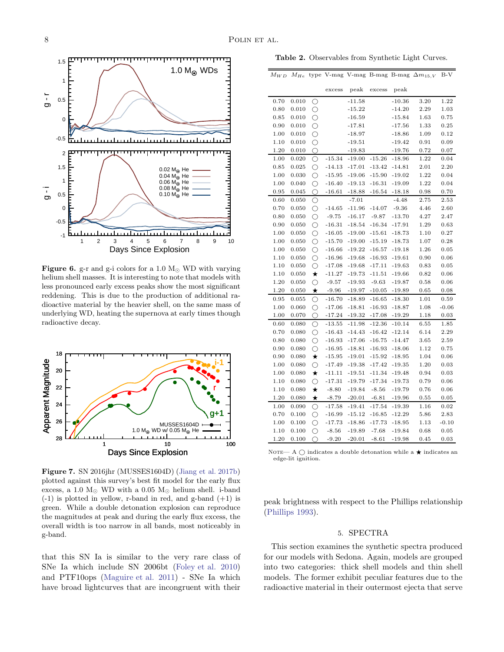

<span id="page-7-2"></span>Figure 6. g-r and g-i colors for a 1.0  $M_{\odot}$  WD with varying helium shell masses. It is interesting to note that models with less pronounced early excess peaks show the most significant reddening. This is due to the production of additional radioactive material by the heavier shell, on the same mass of underlying WD, heating the supernova at early times though radioactive decay.



<span id="page-7-3"></span>Figure 7. SN 2016jhr (MUSSES1604D) [\(Jiang et al. 2017b](#page-12-22)) plotted against this survey's best fit model for the early flux excess, a 1.0  $M<sub>©</sub>$  WD with a 0.05  $M<sub>©</sub>$  helium shell. i-band  $(-1)$  is plotted in yellow, r-band in red, and g-band  $(+1)$  is green. While a double detonation explosion can reproduce the magnitudes at peak and during the early flux excess, the overall width is too narrow in all bands, most noticeably in g-band.

that this SN Ia is similar to the very rare class of SNe Ia which include SN 2006bt [\(Foley et al. 2010](#page-12-23)) and PTF10ops [\(Maguire et al. 2011\)](#page-12-24) - SNe Ia which have broad lightcurves that are incongruent with their

<span id="page-7-1"></span>Table 2. Observables from Synthetic Light Curves.

|  |  |  | $M_{WD}$ M <sub>He</sub> type V-mag V-mag B-mag B-mag $\Delta m_{15,V}$ B-V |  |
|--|--|--|-----------------------------------------------------------------------------|--|
|  |  |  |                                                                             |  |

|      |       |                     | excess   | peak     | excess   | peak     |          |            |
|------|-------|---------------------|----------|----------|----------|----------|----------|------------|
| 0.70 | 0.010 | О                   |          | $-11.58$ |          | $-10.36$ | 3.20     | 1.22       |
| 0.80 | 0.010 | $\circlearrowright$ |          | $-15.22$ |          | $-14.20$ | 2.29     | 1.03       |
| 0.85 | 0.010 | $\circ$             |          | $-16.59$ |          | $-15.84$ | 1.63     | 0.75       |
| 0.90 | 0.010 | $\bigcirc$          |          | $-17.81$ |          | $-17.56$ | 1.33     | 0.25       |
| 1.00 | 0.010 | $\bigcirc$          |          | $-18.97$ |          | $-18.86$ | 1.09     | 0.12       |
| 1.10 | 0.010 | $\bigcirc$          |          | $-19.51$ |          | $-19.42$ | 0.91     | 0.09       |
| 1.20 | 0.010 | O                   |          | $-19.83$ |          | -19.76   | 0.72     | 0.07       |
| 1.00 | 0.020 | $\circlearrowright$ | $-15.34$ | $-19.00$ | $-15.26$ | $-18.96$ | 1.22     | 0.04       |
| 0.85 | 0.025 | $\bigcirc$          | $-14.13$ | $-17.01$ | $-13.42$ | $-14.81$ | 2.01     | 2.20       |
| 1.00 | 0.030 | ◯                   | $-15.95$ | $-19.06$ | $-15.90$ | $-19.02$ | 1.22     | 0.04       |
| 1.00 | 0.040 | $\circ$             | $-16.40$ | $-19.13$ | $-16.31$ | $-19.09$ | 1.22     | 0.04       |
| 0.95 | 0.045 | $\circlearrowright$ | $-16.61$ | $-18.88$ | $-16.54$ | $-18.18$ | 0.98     | 0.70       |
| 0.60 | 0.050 | O                   |          | $-7.01$  |          | $-4.48$  | 2.75     | 2.53       |
| 0.70 | 0.050 | $\circ$             | $-14.65$ | $-11.96$ | $-14.07$ | $-9.36$  | 4.46     | 2.60       |
| 0.80 | 0.050 | $\circ$             | $-9.75$  | $-16.17$ | $-9.87$  | $-13.70$ | 4.27     | 2.47       |
| 0.90 | 0.050 | $\circlearrowright$ | $-16.31$ | $-18.54$ | $-16.34$ | $-17.91$ | 1.29     | 0.63       |
| 1.00 | 0.050 | $\circ$             | $-16.05$ | $-19.00$ | $-15.61$ | $-18.73$ | 1.10     | 0.27       |
| 1.00 | 0.050 | $\circ$             | $-15.70$ | $-19.00$ | $-15.19$ | $-18.73$ | 1.07     | 0.28       |
| 1.00 | 0.050 | $\bigcirc$          | $-16.66$ | $-19.22$ | $-16.57$ | $-19.18$ | 1.26     | 0.05       |
| 1.10 | 0.050 | $\bigcirc$          | $-16.96$ | $-19.68$ | $-16.93$ | $-19.61$ | 0.90     | 0.06       |
| 1.10 | 0.050 | О                   | $-17.08$ | $-19.68$ | $-17.11$ | $-19.63$ | 0.83     | 0.05       |
| 1.10 | 0.050 | $\star$             | $-11.27$ | $-19.73$ | $-11.51$ | $-19.66$ | 0.82     | 0.06       |
| 1.20 | 0.050 | $\circ$             | $-9.57$  | $-19.93$ | $-9.63$  | $-19.87$ | 0.58     | 0.06       |
| 1.20 | 0.050 | $\star$             | $-9.96$  | $-19.97$ | $-10.05$ | $-19.89$ | 0.65     | 0.08       |
| 0.95 | 0.055 | О                   | $-16.70$ | $-18.89$ | $-16.65$ | $-18.30$ | 1.01     | 0.59       |
| 1.00 | 0.060 | ◯                   | $-17.06$ | $-18.81$ | $-16.93$ | $-18.87$ | 1.08     | $-0.06$    |
| 1.00 | 0.070 | ◯                   | $-17.24$ | $-19.32$ | $-17.08$ | $-19.29$ | 1.18     | 0.03       |
| 0.60 | 0.080 | ∩                   | $-13.55$ | $-11.98$ | $-12.36$ | $-10.14$ | 6.55     | 1.85       |
| 0.70 | 0.080 | $\circlearrowright$ | $-16.43$ | $-14.43$ | $-16.42$ | $-12.14$ | 6.14     | 2.29       |
| 0.80 | 0.080 | $\bigcirc$          | $-16.93$ | $-17.06$ | $-16.75$ | $-14.47$ | 3.65     | 2.59       |
| 0.90 | 0.080 | $\bigcirc$          | $-16.95$ | $-18.81$ | $-16.93$ | $-18.06$ | $1.12\,$ | 0.75       |
| 0.90 | 0.080 | $\star$             | $-15.95$ | $-19.01$ | $-15.92$ | $-18.95$ | 1.04     | 0.06       |
| 1.00 | 0.080 | $\bigcirc$          | $-17.49$ | $-19.38$ | $-17.42$ | $-19.35$ | 1.20     | 0.03       |
| 1.00 | 0.080 | $\star$             | $-11.11$ | $-19.51$ | $-11.34$ | $-19.48$ | 0.94     | 0.03       |
| 1.10 | 0.080 | $\circ$             | $-17.31$ | $-19.79$ | $-17.34$ | $-19.73$ | 0.79     | 0.06       |
| 1.10 | 0.080 | $\star$             | $-8.80$  | $-19.84$ | $-8.56$  | $-19.79$ | 0.76     | 0.06       |
| 1.20 | 0.080 | $\star$             | $-8.79$  | $-20.01$ | $-6.81$  | $-19.96$ | 0.55     | 0.05       |
| 1.00 | 0.090 | О                   | $-17.58$ | $-19.41$ | $-17.54$ | $-19.39$ | 1.16     | 0.02       |
| 0.70 | 0.100 | $\bigcirc$          | $-16.99$ | $-15.12$ | $-16.85$ | $-12.29$ | 5.86     | 2.83       |
| 1.00 | 0.100 | $\circ$             | $-17.73$ | $-18.86$ | $-17.73$ | $-18.95$ | 1.13     | $-0.10$    |
| 1.10 | 0.100 | $\circ$             | $-8.56$  | $-19.89$ | $-7.68$  | $-19.84$ | 0.68     | $\rm 0.05$ |
| 1.20 | 0.100 | ∩                   | $-9.20$  | $-20.01$ | $-8.61$  | $-19.98$ | 0.45     | 0.03       |

NOTE— A  $\bigcirc$  indicates a double detonation while a  $\bigstar$  indicates an edge-lit ignition.

<span id="page-7-0"></span>peak brightness with respect to the Phillips relationship [\(Phillips 1993\)](#page-12-25).

### 5. SPECTRA

This section examines the synthetic spectra produced for our models with Sedona. Again, models are grouped into two categories: thick shell models and thin shell models. The former exhibit peculiar features due to the radioactive material in their outermost ejecta that serve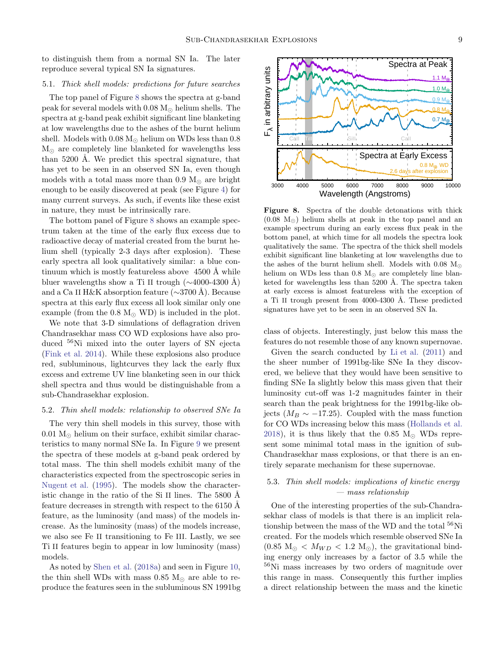to distinguish them from a normal SN Ia. The later reproduce several typical SN Ia signatures.

## 5.1. Thick shell models: predictions for future searches

The top panel of Figure [8](#page-8-0) shows the spectra at g-band peak for several models with  $0.08 M_{\odot}$  helium shells. The spectra at g-band peak exhibit significant line blanketing at low wavelengths due to the ashes of the burnt helium shell. Models with  $0.08 M_{\odot}$  helium on WDs less than  $0.8$  $M_{\odot}$  are completely line blanketed for wavelengths less than 5200 Å. We predict this spectral signature, that has yet to be seen in an observed SN Ia, even though models with a total mass more than  $0.9 M_{\odot}$  are bright enough to be easily discovered at peak (see Figure [4\)](#page-6-0) for many current surveys. As such, if events like these exist in nature, they must be intrinsically rare.

The bottom panel of Figure [8](#page-8-0) shows an example spectrum taken at the time of the early flux excess due to radioactive decay of material created from the burnt helium shell (typically 2-3 days after explosion). These early spectra all look qualitatively similar: a blue continuum which is mostly featureless above  $4500 \text{ Å}$  while bluer wavelengths show a Ti II trough  $(\sim 4000-4300 \text{ Å})$ and a Ca II H&K absorption feature (∼3700 Å). Because spectra at this early flux excess all look similar only one example (from the 0.8  $M_{\odot}$  WD) is included in the plot.

We note that 3-D simulations of deflagration driven Chandrasekhar mass CO WD explosions have also produced <sup>56</sup>Ni mixed into the outer layers of SN ejecta [\(Fink et al. 2014\)](#page-11-6). While these explosions also produce red, subluminous, lightcurves they lack the early flux excess and extreme UV line blanketing seen in our thick shell spectra and thus would be distinguishable from a sub-Chandrasekhar explosion.

### 5.2. Thin shell models: relationship to observed SNe Ia

The very thin shell models in this survey, those with  $0.01 M_{\odot}$  helium on their surface, exhibit similar characteristics to many normal SNe Ia. In Figure [9](#page-9-0) we present the spectra of these models at g-band peak ordered by total mass. The thin shell models exhibit many of the characteristics expected from the spectroscopic series in [Nugent et al.](#page-12-26) [\(1995\)](#page-12-26). The models show the characteristic change in the ratio of the Si II lines. The  $5800 \text{ Å}$ feature decreases in strength with respect to the  $6150$  Å feature, as the luminosity (and mass) of the models increase. As the luminosity (mass) of the models increase, we also see Fe II transitioning to Fe III. Lastly, we see Ti II features begin to appear in low luminosity (mass) models.

As noted by [Shen et al.](#page-12-19) [\(2018a\)](#page-12-19) and seen in Figure [10,](#page-9-1) the thin shell WDs with mass 0.85  $M_{\odot}$  are able to reproduce the features seen in the subluminous SN 1991bg



<span id="page-8-0"></span>Figure 8. Spectra of the double detonations with thick  $(0.08 \text{ M}_\odot)$  helium shells at peak in the top panel and an example spectrum during an early excess flux peak in the bottom panel, at which time for all models the spectra look qualitatively the same. The spectra of the thick shell models exhibit significant line blanketing at low wavelengths due to the ashes of the burnt helium shell. Models with 0.08  $M_{\odot}$ helium on WDs less than 0.8  $M_{\odot}$  are completely line blanketed for wavelengths less than  $5200$  Å. The spectra taken at early excess is almost featureless with the exception of a Ti II trough present from 4000-4300 Å. These predicted signatures have yet to be seen in an observed SN Ia.

class of objects. Interestingly, just below this mass the features do not resemble those of any known supernovae.

Given the search conducted by [Li et al.](#page-12-27) [\(2011](#page-12-27)) and the sheer number of 1991bg-like SNe Ia they discovered, we believe that they would have been sensitive to finding SNe Ia slightly below this mass given that their luminosity cut-off was 1-2 magnitudes fainter in their search than the peak brightness for the 1991bg-like objects ( $M_B \sim -17.25$ ). Coupled with the mass function for CO WDs increasing below this mass [\(Hollands et al.](#page-12-28) [2018\)](#page-12-28), it is thus likely that the 0.85  $M_{\odot}$  WDs represent some minimal total mass in the ignition of sub-Chandrasekhar mass explosions, or that there is an entirely separate mechanism for these supernovae.

# 5.3. Thin shell models: implications of kinetic energy — mass relationship

One of the interesting properties of the sub-Chandrasekhar class of models is that there is an implicit relationship between the mass of the WD and the total <sup>56</sup>Ni created. For the models which resemble observed SNe Ia  $(0.85 \text{ M}_{\odot} < M_{WD} < 1.2 \text{ M}_{\odot})$ , the gravitational binding energy only increases by a factor of 3.5 while the <sup>56</sup>Ni mass increases by two orders of magnitude over this range in mass. Consequently this further implies a direct relationship between the mass and the kinetic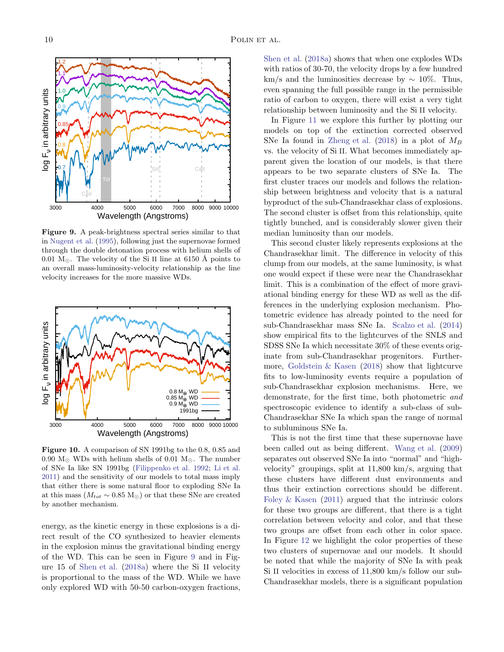

<span id="page-9-0"></span>Figure 9. A peak-brightness spectral series similar to that in [Nugent et al.](#page-12-26) [\(1995\)](#page-12-26), following just the supernovae formed through the double detonation process with helium shells of 0.01  $M_{\odot}$ . The velocity of the Si II line at 6150 Å points to an overall mass-luminosity-velocity relationship as the line velocity increases for the more massive WDs.



<span id="page-9-1"></span>Figure 10. A comparison of SN 1991bg to the 0.8, 0.85 and 0.90  $M_{\odot}$  WDs with helium shells of 0.01  $M_{\odot}$ . The number of SNe Ia like SN 1991bg [\(Filippenko et al. 1992](#page-11-7); [Li et al.](#page-12-27) [2011](#page-12-27)) and the sensitivity of our models to total mass imply that either there is some natural floor to exploding SNe Ia at this mass ( $M_{tot} \sim 0.85 \text{ M}_{\odot}$ ) or that these SNe are created by another mechanism.

energy, as the kinetic energy in these explosions is a direct result of the CO synthesized to heavier elements in the explosion minus the gravitational binding energy of the WD. This can be seen in Figure [9](#page-9-0) and in Figure 15 of [Shen et al.](#page-12-19) [\(2018a\)](#page-12-19) where the Si II velocity is proportional to the mass of the WD. While we have only explored WD with 50-50 carbon-oxygen fractions,

[Shen et al.](#page-12-19) [\(2018a](#page-12-19)) shows that when one explodes WDs with ratios of 30-70, the velocity drops by a few hundred km/s and the luminosities decrease by  $\sim 10\%$ . Thus, even spanning the full possible range in the permissible ratio of carbon to oxygen, there will exist a very tight relationship between luminosity and the Si II velocity.

In Figure [11](#page-10-0) we explore this further by plotting our models on top of the extinction corrected observed SNe Ia found in [Zheng et al.](#page-12-29) [\(2018](#page-12-29)) in a plot of  $M_B$ vs. the velocity of Si II. What becomes immediately apparent given the location of our models, is that there appears to be two separate clusters of SNe Ia. The first cluster traces our models and follows the relationship between brightness and velocity that is a natural byproduct of the sub-Chandrasekhar class of explosions. The second cluster is offset from this relationship, quite tightly bunched, and is considerably slower given their median luminosity than our models.

This second cluster likely represents explosions at the Chandrasekhar limit. The difference in velocity of this clump from our models, at the same luminosity, is what one would expect if these were near the Chandrasekhar limit. This is a combination of the effect of more graviational binding energy for these WD as well as the differences in the underlying explosion mechanism. Photometric evidence has already pointed to the need for sub-Chandrasekhar mass SNe Ia. [Scalzo et al.](#page-12-30) [\(2014](#page-12-30)) show empirical fits to the lightcurves of the SNLS and SDSS SNe Ia which necessitate 30% of these events originate from sub-Chandrasekhar progenitors. Furthermore, [Goldstein & Kasen](#page-12-31) [\(2018\)](#page-12-31) show that lightcurve fits to low-luminosity events require a population of sub-Chandrasekhar explosion mechanisms. Here, we demonstrate, for the first time, both photometric and spectroscopic evidence to identify a sub-class of sub-Chandrasekhar SNe Ia which span the range of normal to subluminous SNe Ia.

This is not the first time that these supernovae have been called out as being different. [Wang et al.](#page-12-32) [\(2009](#page-12-32)) separates out observed SNe Ia into "normal" and "highvelocity" groupings, split at 11,800 km/s, arguing that these clusters have different dust environments and thus their extinction corrections should be different. [Foley & Kasen](#page-11-8) [\(2011](#page-11-8)) argued that the intrinsic colors for these two groups are different, that there is a tight correlation between velocity and color, and that these two groups are offset from each other in color space. In Figure [12](#page-10-1) we highlight the color properties of these two clusters of supernovae and our models. It should be noted that while the majority of SNe Ia with peak Si II velocities in excess of 11,800 km/s follow our sub-Chandrasekhar models, there is a significant population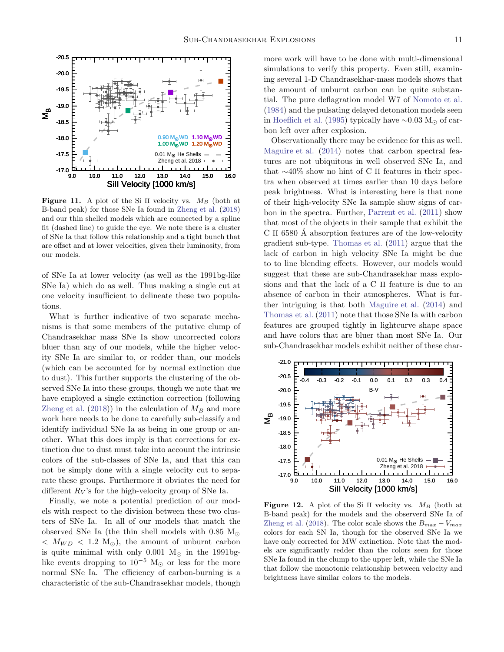

<span id="page-10-0"></span>**Figure 11.** A plot of the Si II velocity vs.  $M_B$  (both at B-band peak) for those SNe Ia found in [Zheng et al.](#page-12-29) [\(2018](#page-12-29)) and our thin shelled models which are connected by a spline fit (dashed line) to guide the eye. We note there is a cluster of SNe Ia that follow this relationship and a tight bunch that are offset and at lower velocities, given their luminosity, from our models.

of SNe Ia at lower velocity (as well as the 1991bg-like SNe Ia) which do as well. Thus making a single cut at one velocity insufficient to delineate these two populations.

What is further indicative of two separate mechanisms is that some members of the putative clump of Chandrasekhar mass SNe Ia show uncorrected colors bluer than any of our models, while the higher velocity SNe Ia are similar to, or redder than, our models (which can be accounted for by normal extinction due to dust). This further supports the clustering of the observed SNe Ia into these groups, though we note that we have employed a single extinction correction (following [Zheng et al.](#page-12-29) [\(2018\)](#page-12-29)) in the calculation of  $M_B$  and more work here needs to be done to carefully sub-classify and identify individual SNe Ia as being in one group or another. What this does imply is that corrections for extinction due to dust must take into account the intrinsic colors of the sub-classes of SNe Ia, and that this can not be simply done with a single velocity cut to separate these groups. Furthermore it obviates the need for different  $R_V$ 's for the high-velocity group of SNe Ia.

Finally, we note a potential prediction of our models with respect to the division between these two clusters of SNe Ia. In all of our models that match the observed SNe Ia (the thin shell models with 0.85  $M_{\odot}$ )  $< M_{WD} < 1.2 M_{\odot}$ , the amount of unburnt carbon is quite minimal with only 0.001  $M_{\odot}$  in the 1991bglike events dropping to  $10^{-5}$  M<sub> $\odot$ </sub> or less for the more normal SNe Ia. The efficiency of carbon-burning is a characteristic of the sub-Chandrasekhar models, though more work will have to be done with multi-dimensional simulations to verify this property. Even still, examining several 1-D Chandrasekhar-mass models shows that the amount of unburnt carbon can be quite substantial. The pure deflagration model W7 of [Nomoto et al.](#page-12-33) [\(1984\)](#page-12-33) and the pulsating delayed detonation models seen in [Hoeflich et al.](#page-12-34) [\(1995\)](#page-12-34) typically have  $\sim 0.03$  M<sub>☉</sub> of carbon left over after explosion.

Observationally there may be evidence for this as well. [Maguire et al.](#page-12-35) [\(2014\)](#page-12-35) notes that carbon spectral features are not ubiquitous in well observed SNe Ia, and that ∼40% show no hint of C II features in their spectra when observed at times earlier than 10 days before peak brightness. What is interesting here is that none of their high-velocity SNe Ia sample show signs of carbon in the spectra. Further, [Parrent et al.](#page-12-36) [\(2011](#page-12-36)) show that most of the objects in their sample that exhibit the C II 6580 Å absorption features are of the low-velocity gradient sub-type. [Thomas et al.](#page-12-37) [\(2011](#page-12-37)) argue that the lack of carbon in high velocity SNe Ia might be due to to line blending effects. However, our models would suggest that these are sub-Chandrasekhar mass explosions and that the lack of a C II feature is due to an absence of carbon in their atmospheres. What is further intriguing is that both [Maguire et al.](#page-12-35) [\(2014\)](#page-12-35) and [Thomas et al.](#page-12-37) [\(2011](#page-12-37)) note that those SNe Ia with carbon features are grouped tightly in lightcurve shape space and have colors that are bluer than most SNe Ia. Our sub-Chandrasekhar models exhibit neither of these char-



<span id="page-10-1"></span>**Figure 12.** A plot of the Si II velocity vs.  $M_B$  (both at B-band peak) for the models and the observerd SNe Ia of [Zheng et al.](#page-12-29) [\(2018](#page-12-29)). The color scale shows the  $B_{max} - V_{max}$ colors for each SN Ia, though for the observed SNe Ia we have only corrected for MW extinction. Note that the models are significantly redder than the colors seen for those SNe Ia found in the clump to the upper left, while the SNe Ia that follow the monotonic relationship between velocity and brightness have similar colors to the models.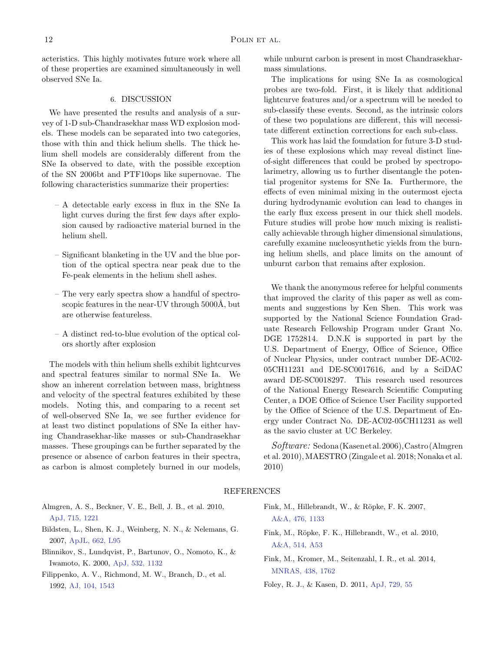acteristics. This highly motivates future work where all of these properties are examined simultaneously in well observed SNe Ia.

### 6. DISCUSSION

<span id="page-11-3"></span>We have presented the results and analysis of a survey of 1-D sub-Chandrasekhar mass WD explosion models. These models can be separated into two categories, those with thin and thick helium shells. The thick helium shell models are considerably different from the SNe Ia observed to date, with the possible exception of the SN 2006bt and PTF10ops like supernovae. The following characteristics summarize their properties:

- A detectable early excess in flux in the SNe Ia light curves during the first few days after explosion caused by radioactive material burned in the helium shell.
- Significant blanketing in the UV and the blue portion of the optical spectra near peak due to the Fe-peak elements in the helium shell ashes.
- The very early spectra show a handful of spectroscopic features in the near-UV through  $5000\text{\AA}$ , but are otherwise featureless.
- A distinct red-to-blue evolution of the optical colors shortly after explosion

The models with thin helium shells exhibit lightcurves and spectral features similar to normal SNe Ia. We show an inherent correlation between mass, brightness and velocity of the spectral features exhibited by these models. Noting this, and comparing to a recent set of well-observed SNe Ia, we see further evidence for at least two distinct populations of SNe Ia either having Chandrasekhar-like masses or sub-Chandrasekhar masses. These groupings can be further separated by the presence or absence of carbon features in their spectra, as carbon is almost completely burned in our models,

while unburnt carbon is present in most Chandrasekharmass simulations.

The implications for using SNe Ia as cosmological probes are two-fold. First, it is likely that additional lightcurve features and/or a spectrum will be needed to sub-classify these events. Second, as the intrinsic colors of these two populations are different, this will necessitate different extinction corrections for each sub-class.

This work has laid the foundation for future 3-D studies of these explosions which may reveal distinct lineof-sight differences that could be probed by spectropolarimetry, allowing us to further disentangle the potential progenitor systems for SNe Ia. Furthermore, the effects of even minimal mixing in the outermost ejecta during hydrodynamic evolution can lead to changes in the early flux excess present in our thick shell models. Future studies will probe how much mixing is realistically achievable through higher dimensional simulations, carefully examine nucleosynthetic yields from the burning helium shells, and place limits on the amount of unburnt carbon that remains after explosion.

We thank the anonymous referee for helpful comments that improved the clarity of this paper as well as comments and suggestions by Ken Shen. This work was supported by the National Science Foundation Graduate Research Fellowship Program under Grant No. DGE 1752814. D.N.K is supported in part by the U.S. Department of Energy, Office of Science, Office of Nuclear Physics, under contract number DE-AC02- 05CH11231 and DE-SC0017616, and by a SciDAC award DE-SC0018297. This research used resources of the National Energy Research Scientific Computing Center, a DOE Office of Science User Facility supported by the Office of Science of the U.S. Department of Energy under Contract No. DE-AC02-05CH11231 as well as the savio cluster at UC Berkeley.

Software: Sedona(Kasenetal.2006),Castro(Almgren et al. 2010),MAESTRO (Zingale et al. 2018; Nonaka et al. 2010)

### REFERENCES

<span id="page-11-4"></span>Almgren, A. S., Beckner, V. E., Bell, J. B., et al. 2010, [ApJ, 715, 1221](http://dx.doi.org/10.1088/0004-637X/715/2/1221)

- <span id="page-11-0"></span>Bildsten, L., Shen, K. J., Weinberg, N. N., & Nelemans, G. 2007, [ApJL, 662, L95](http://dx.doi.org/10.1086/519489)
- <span id="page-11-5"></span>Blinnikov, S., Lundqvist, P., Bartunov, O., Nomoto, K., & Iwamoto, K. 2000, [ApJ, 532, 1132](http://dx.doi.org/10.1086/308588)
- <span id="page-11-7"></span>Filippenko, A. V., Richmond, M. W., Branch, D., et al. 1992, [AJ, 104, 1543](http://dx.doi.org/10.1086/116339)
- <span id="page-11-1"></span>Fink, M., Hillebrandt, W., & Röpke, F. K. 2007, [A&A, 476, 1133](http://dx.doi.org/10.1051/0004-6361:20078438)
- <span id="page-11-2"></span>Fink, M., Röpke, F. K., Hillebrandt, W., et al. 2010, [A&A, 514, A53](http://dx.doi.org/10.1051/0004-6361/200913892)
- <span id="page-11-6"></span>Fink, M., Kromer, M., Seitenzahl, I. R., et al. 2014, [MNRAS, 438, 1762](http://dx.doi.org/10.1093/mnras/stt2315)
- <span id="page-11-8"></span>Foley, R. J., & Kasen, D. 2011, [ApJ, 729, 55](http://dx.doi.org/10.1088/0004-637X/729/1/55)